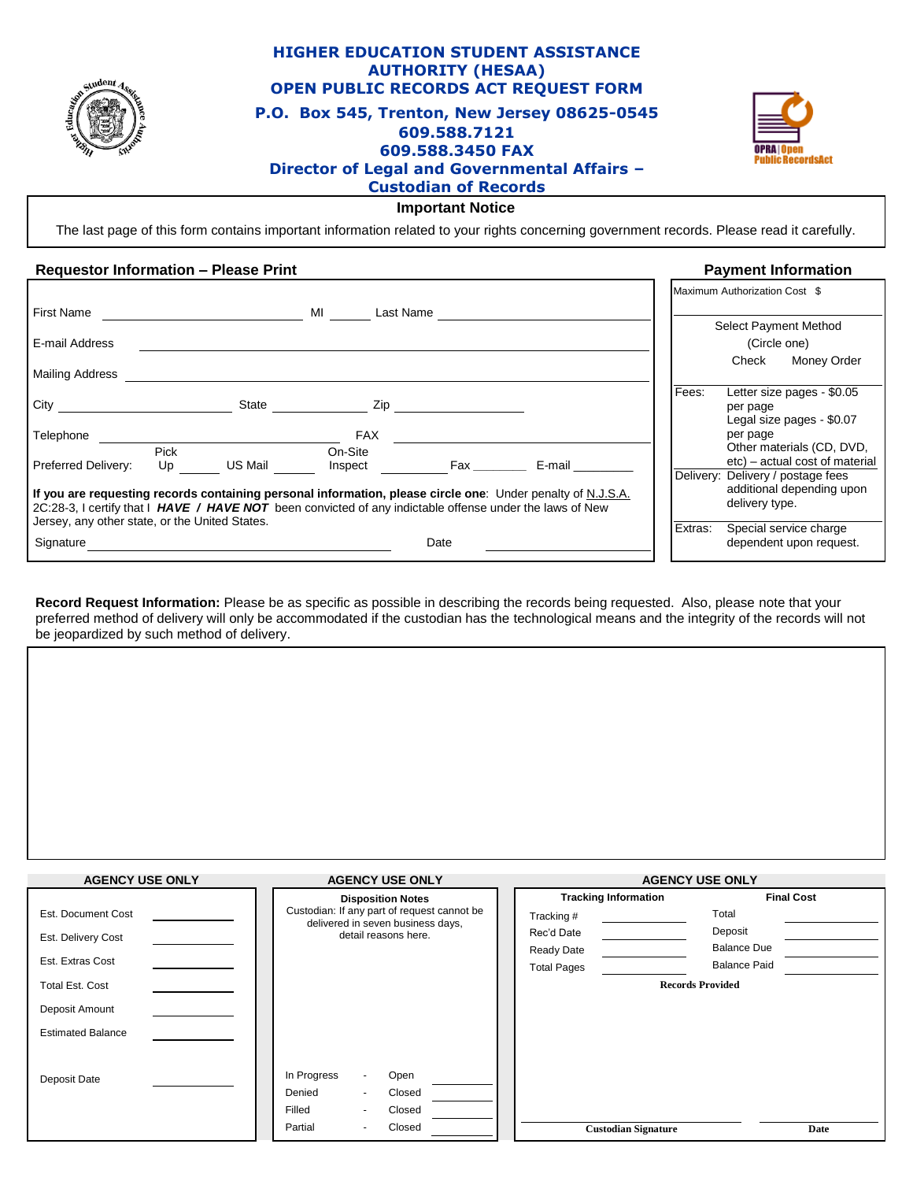

# **HIGHER EDUCATION STUDENT ASSISTANCE AUTHORITY (HESAA) OPEN PUBLIC RECORDS ACT REQUEST FORM P.O. Box 545, Trenton, New Jersey 08625-0545 609.588.7121 609.588.3450 FAX Director of Legal and Governmental Affairs – Custodian of Records**



### **Important Notice**

The last page of this form contains important information related to your rights concerning government records. Please read it carefully.

## **Requestor Information – Please Print Payment Information**

|                                                                                                                                                            |            |         |                    |           |                                                                                                             |         | Maximum Authorization Cost \$                                                                                                 |
|------------------------------------------------------------------------------------------------------------------------------------------------------------|------------|---------|--------------------|-----------|-------------------------------------------------------------------------------------------------------------|---------|-------------------------------------------------------------------------------------------------------------------------------|
| <b>First Name</b>                                                                                                                                          |            |         | MI                 | Last Name |                                                                                                             |         |                                                                                                                               |
| E-mail Address                                                                                                                                             |            |         |                    |           |                                                                                                             |         | Select Payment Method<br>(Circle one)                                                                                         |
| Mailing Address                                                                                                                                            |            |         |                    |           |                                                                                                             |         | Check<br>Money Order                                                                                                          |
| City                                                                                                                                                       |            | State   |                    | Zip       |                                                                                                             | Fees:   | Letter size pages - \$0.05<br>per page<br>Legal size pages - \$0.07                                                           |
| Telephone                                                                                                                                                  |            |         | <b>FAX</b>         |           |                                                                                                             |         | per page                                                                                                                      |
| Preferred Delivery:                                                                                                                                        | Pick<br>Up | US Mail | On-Site<br>Inspect |           | E-mail                                                                                                      |         | Other materials (CD, DVD,<br>etc) - actual cost of material<br>Delivery: Delivery / postage fees<br>additional depending upon |
| 2C:28-3, I certify that I HAVE / HAVE NOT been convicted of any indictable offense under the laws of New<br>Jersey, any other state, or the United States. |            |         |                    |           | If you are requesting records containing personal information, please circle one: Under penalty of N.J.S.A. |         | delivery type.                                                                                                                |
| Signature                                                                                                                                                  |            |         |                    | Date      |                                                                                                             | Extras: | Special service charge<br>dependent upon request.                                                                             |

**Record Request Information:** Please be as specific as possible in describing the records being requested. Also, please note that your preferred method of delivery will only be accommodated if the custodian has the technological means and the integrity of the records will not be jeopardized by such method of delivery.

| <b>AGENCY USE ONLY</b>   | <b>AGENCY USE ONLY</b>                                                           | <b>AGENCY USE ONLY</b>      |                         |  |
|--------------------------|----------------------------------------------------------------------------------|-----------------------------|-------------------------|--|
|                          | <b>Disposition Notes</b>                                                         | <b>Tracking Information</b> | <b>Final Cost</b>       |  |
| Est. Document Cost       | Custodian: If any part of request cannot be<br>delivered in seven business days, | Tracking #                  | Total                   |  |
| Est. Delivery Cost       | detail reasons here.                                                             | Rec'd Date                  | Deposit                 |  |
|                          |                                                                                  | Ready Date                  | <b>Balance Due</b>      |  |
| Est. Extras Cost         |                                                                                  | <b>Total Pages</b>          | <b>Balance Paid</b>     |  |
| Total Est. Cost          |                                                                                  |                             | <b>Records Provided</b> |  |
| Deposit Amount           |                                                                                  |                             |                         |  |
| <b>Estimated Balance</b> |                                                                                  |                             |                         |  |
|                          |                                                                                  |                             |                         |  |
| Deposit Date             | In Progress<br>Open<br>$\overline{\phantom{a}}$                                  |                             |                         |  |
|                          | Denied<br>Closed<br>$\overline{a}$                                               |                             |                         |  |
|                          | Filled<br>Closed<br>$\overline{\phantom{a}}$                                     |                             |                         |  |
|                          | Closed<br>Partial<br>$\blacksquare$                                              | <b>Custodian Signature</b>  | Date                    |  |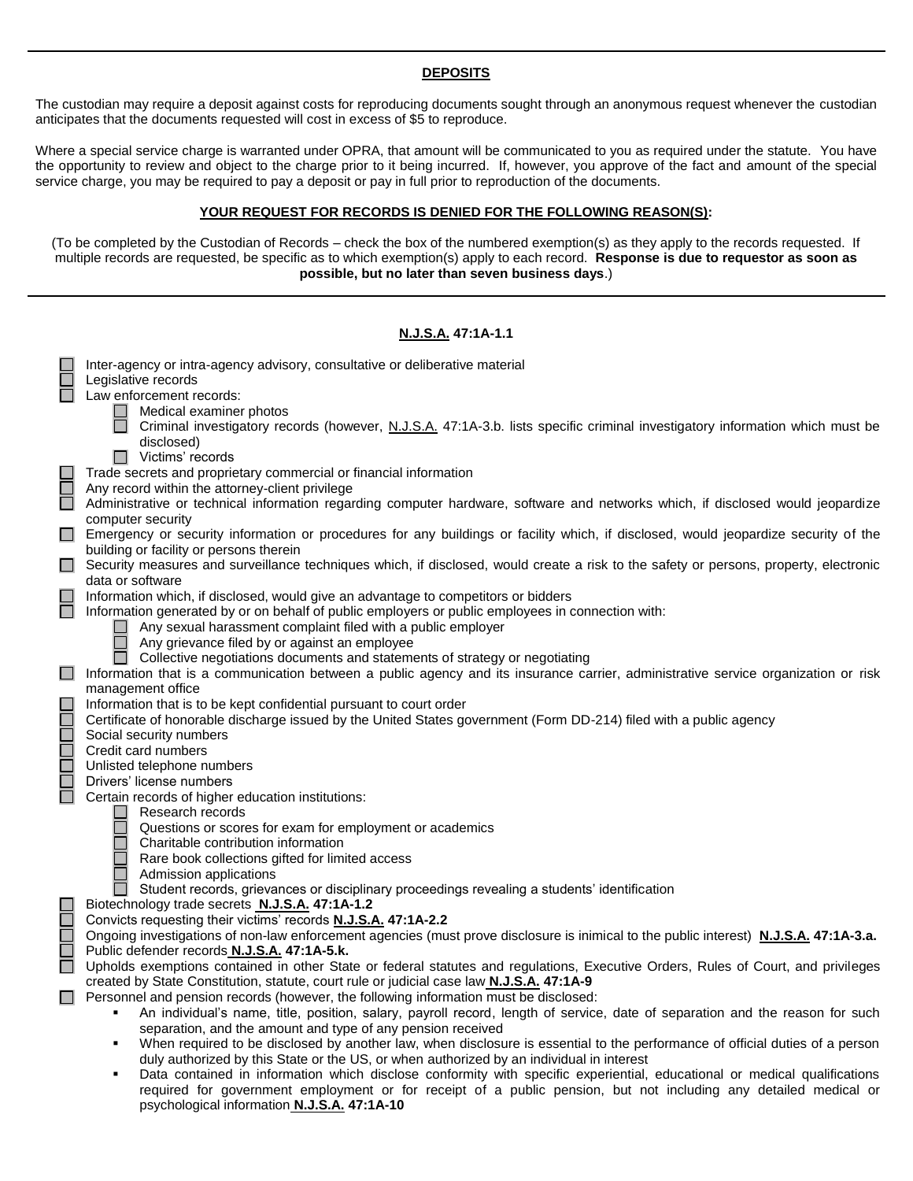## **DEPOSITS**

The custodian may require a deposit against costs for reproducing documents sought through an anonymous request whenever the custodian anticipates that the documents requested will cost in excess of \$5 to reproduce.

Where a special service charge is warranted under OPRA, that amount will be communicated to you as required under the statute. You have the opportunity to review and object to the charge prior to it being incurred. If, however, you approve of the fact and amount of the special service charge, you may be required to pay a deposit or pay in full prior to reproduction of the documents.

### **YOUR REQUEST FOR RECORDS IS DENIED FOR THE FOLLOWING REASON(S):**

(To be completed by the Custodian of Records – check the box of the numbered exemption(s) as they apply to the records requested. If multiple records are requested, be specific as to which exemption(s) apply to each record. **Response is due to requestor as soon as possible, but no later than seven business days**.)

|            | <u>N.J.S.A.</u> 47:1A-1.1                                                                                                                                                                                                     |  |  |  |  |  |  |  |
|------------|-------------------------------------------------------------------------------------------------------------------------------------------------------------------------------------------------------------------------------|--|--|--|--|--|--|--|
|            | Inter-agency or intra-agency advisory, consultative or deliberative material                                                                                                                                                  |  |  |  |  |  |  |  |
|            | Legislative records<br>Law enforcement records:                                                                                                                                                                               |  |  |  |  |  |  |  |
|            | Medical examiner photos                                                                                                                                                                                                       |  |  |  |  |  |  |  |
|            | Criminal investigatory records (however, N.J.S.A. 47:1A-3.b. lists specific criminal investigatory information which must be                                                                                                  |  |  |  |  |  |  |  |
|            | disclosed)                                                                                                                                                                                                                    |  |  |  |  |  |  |  |
|            | Victims' records                                                                                                                                                                                                              |  |  |  |  |  |  |  |
| 8<br>8     | Trade secrets and proprietary commercial or financial information<br>Any record within the attorney-client privilege                                                                                                          |  |  |  |  |  |  |  |
|            | Administrative or technical information regarding computer hardware, software and networks which, if disclosed would jeopardize                                                                                               |  |  |  |  |  |  |  |
|            | computer security                                                                                                                                                                                                             |  |  |  |  |  |  |  |
|            | Emergency or security information or procedures for any buildings or facility which, if disclosed, would jeopardize security of the                                                                                           |  |  |  |  |  |  |  |
| $\Box$     | building or facility or persons therein<br>Security measures and surveillance techniques which, if disclosed, would create a risk to the safety or persons, property, electronic                                              |  |  |  |  |  |  |  |
|            | data or software                                                                                                                                                                                                              |  |  |  |  |  |  |  |
| $\Box$     | Information which, if disclosed, would give an advantage to competitors or bidders                                                                                                                                            |  |  |  |  |  |  |  |
|            | Information generated by or on behalf of public employers or public employees in connection with:                                                                                                                             |  |  |  |  |  |  |  |
|            | Any sexual harassment complaint filed with a public employer<br>Any grievance filed by or against an employee                                                                                                                 |  |  |  |  |  |  |  |
|            | Collective negotiations documents and statements of strategy or negotiating                                                                                                                                                   |  |  |  |  |  |  |  |
| $\Box$     | Information that is a communication between a public agency and its insurance carrier, administrative service organization or risk                                                                                            |  |  |  |  |  |  |  |
|            | management office                                                                                                                                                                                                             |  |  |  |  |  |  |  |
|            | Information that is to be kept confidential pursuant to court order                                                                                                                                                           |  |  |  |  |  |  |  |
|            | Certificate of honorable discharge issued by the United States government (Form DD-214) filed with a public agency<br>Social security numbers                                                                                 |  |  |  |  |  |  |  |
|            | Credit card numbers                                                                                                                                                                                                           |  |  |  |  |  |  |  |
| na ang pa  | Unlisted telephone numbers                                                                                                                                                                                                    |  |  |  |  |  |  |  |
|            | Drivers' license numbers                                                                                                                                                                                                      |  |  |  |  |  |  |  |
|            | Certain records of higher education institutions:<br>$\Box$<br>Research records                                                                                                                                               |  |  |  |  |  |  |  |
|            | Questions or scores for exam for employment or academics                                                                                                                                                                      |  |  |  |  |  |  |  |
|            | Charitable contribution information                                                                                                                                                                                           |  |  |  |  |  |  |  |
|            | Rare book collections gifted for limited access                                                                                                                                                                               |  |  |  |  |  |  |  |
|            | Admission applications<br>Student records, grievances or disciplinary proceedings revealing a students' identification                                                                                                        |  |  |  |  |  |  |  |
|            | Biotechnology trade secrets N.J.S.A. 47:1A-1.2                                                                                                                                                                                |  |  |  |  |  |  |  |
| 9<br>Septe | Convicts requesting their victims' records N.J.S.A. 47:1A-2.2                                                                                                                                                                 |  |  |  |  |  |  |  |
|            | Ongoing investigations of non-law enforcement agencies (must prove disclosure is inimical to the public interest) N.J.S.A. 47:1A-3.a.                                                                                         |  |  |  |  |  |  |  |
| $\Box$     | Public defender records N.J.S.A. 47:1A-5.k.<br>Upholds exemptions contained in other State or federal statutes and regulations, Executive Orders, Rules of Court, and privileges                                              |  |  |  |  |  |  |  |
|            | created by State Constitution, statute, court rule or judicial case law <b>N.J.S.A.</b> 47:1A-9                                                                                                                               |  |  |  |  |  |  |  |
|            | Personnel and pension records (however, the following information must be disclosed:                                                                                                                                          |  |  |  |  |  |  |  |
|            | An individual's name, title, position, salary, payroll record, length of service, date of separation and the reason for such<br>٠                                                                                             |  |  |  |  |  |  |  |
|            | separation, and the amount and type of any pension received                                                                                                                                                                   |  |  |  |  |  |  |  |
|            | When required to be disclosed by another law, when disclosure is essential to the performance of official duties of a person<br>٠<br>duly authorized by this State or the US, or when authorized by an individual in interest |  |  |  |  |  |  |  |
|            | Data contained in information which disclose conformity with specific experiential, educational or medical qualifications<br>٠                                                                                                |  |  |  |  |  |  |  |
|            | required for government employment or for receipt of a public pension, but not including any detailed medical or                                                                                                              |  |  |  |  |  |  |  |

psychological information **N.J.S.A. 47:1A-10**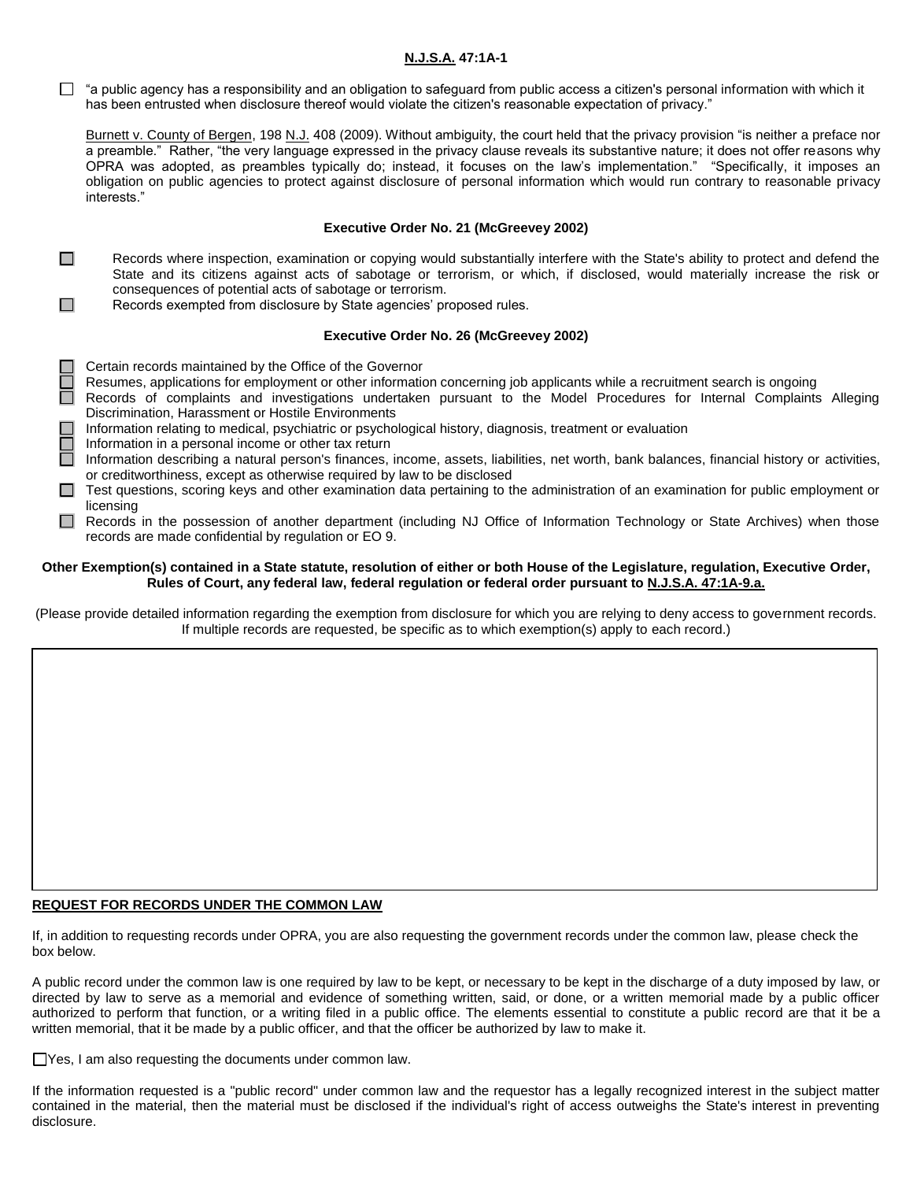## **N.J.S.A. 47:1A-1**

 $\Box$  "a public agency has a responsibility and an obligation to safeguard from public access a citizen's personal information with which it has been entrusted when disclosure thereof would violate the citizen's reasonable expectation of privacy."

Burnett v. County of Bergen, 198 N.J. 408 (2009). Without ambiguity, the court held that the privacy provision "is neither a preface nor a preamble." Rather, "the very language expressed in the privacy clause reveals its substantive nature; it does not offer reasons why OPRA was adopted, as preambles typically do; instead, it focuses on the law's implementation." "Specifically, it imposes an obligation on public agencies to protect against disclosure of personal information which would run contrary to reasonable privacy interests."

### **Executive Order No. 21 (McGreevey 2002)**

- $\Box$ Records where inspection, examination or copying would substantially interfere with the State's ability to protect and defend the State and its citizens against acts of sabotage or terrorism, or which, if disclosed, would materially increase the risk or consequences of potential acts of sabotage or terrorism.  $\Box$ 
	- Records exempted from disclosure by State agencies' proposed rules.

### **Executive Order No. 26 (McGreevey 2002)**

- $\Box$  Certain records maintained by the Office of the Governor
	- Resumes, applications for employment or other information concerning job applicants while a recruitment search is ongoing
- Records of complaints and investigations undertaken pursuant to the Model Procedures for Internal Complaints Alleging Discrimination, Harassment or Hostile Environments
- Information relating to medical, psychiatric or psychological history, diagnosis, treatment or evaluation
- Information in a personal income or other tax return
- Information describing a natural person's finances, income, assets, liabilities, net worth, bank balances, financial history or activities, or creditworthiness, except as otherwise required by law to be disclosed
- □ Test questions, scoring keys and other examination data pertaining to the administration of an examination for public employment or licensing
- Records in the possession of another department (including NJ Office of Information Technology or State Archives) when those records are made confidential by regulation or EO 9.

#### **Other Exemption(s) contained in a State statute, resolution of either or both House of the Legislature, regulation, Executive Order, Rules of Court, any federal law, federal regulation or federal order pursuant to N.J.S.A. 47:1A-9.a.**

(Please provide detailed information regarding the exemption from disclosure for which you are relying to deny access to government records. If multiple records are requested, be specific as to which exemption(s) apply to each record.)

### **REQUEST FOR RECORDS UNDER THE COMMON LAW**

If, in addition to requesting records under OPRA, you are also requesting the government records under the common law, please check the box below.

A public record under the common law is one required by law to be kept, or necessary to be kept in the discharge of a duty imposed by law, or directed by law to serve as a memorial and evidence of something written, said, or done, or a written memorial made by a public officer authorized to perform that function, or a writing filed in a public office. The elements essential to constitute a public record are that it be a written memorial, that it be made by a public officer, and that the officer be authorized by law to make it.

□ Yes, I am also requesting the documents under common law.

If the information requested is a "public record" under common law and the requestor has a legally recognized interest in the subject matter contained in the material, then the material must be disclosed if the individual's right of access outweighs the State's interest in preventing disclosure.